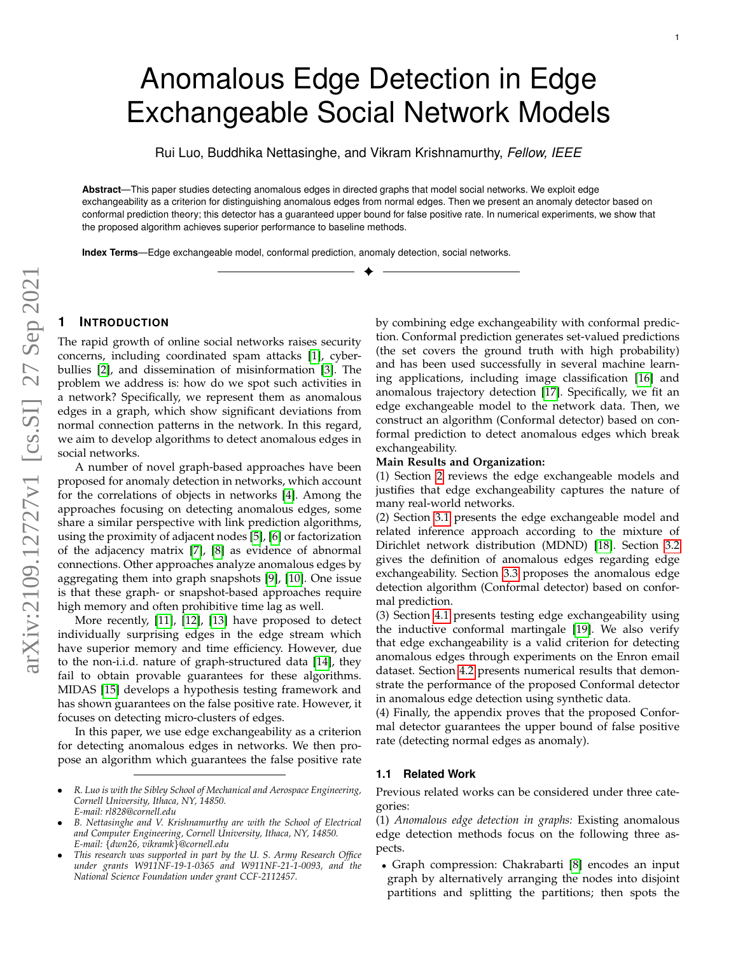# Anomalous Edge Detection in Edge Exchangeable Social Network Models

Rui Luo, Buddhika Nettasinghe, and Vikram Krishnamurthy, *Fellow, IEEE*

**Abstract**—This paper studies detecting anomalous edges in directed graphs that model social networks. We exploit edge exchangeability as a criterion for distinguishing anomalous edges from normal edges. Then we present an anomaly detector based on conformal prediction theory; this detector has a guaranteed upper bound for false positive rate. In numerical experiments, we show that the proposed algorithm achieves superior performance to baseline methods.

✦

**Index Terms**—Edge exchangeable model, conformal prediction, anomaly detection, social networks.

# **1 INTRODUCTION**

The rapid growth of online social networks raises security concerns, including coordinated spam attacks [\[1\]](#page-9-0), cyberbullies [\[2\]](#page-9-1), and dissemination of misinformation [\[3\]](#page-9-2). The problem we address is: how do we spot such activities in a network? Specifically, we represent them as anomalous edges in a graph, which show significant deviations from normal connection patterns in the network. In this regard, we aim to develop algorithms to detect anomalous edges in social networks.

A number of novel graph-based approaches have been proposed for anomaly detection in networks, which account for the correlations of objects in networks [\[4\]](#page-9-3). Among the approaches focusing on detecting anomalous edges, some share a similar perspective with link prediction algorithms, using the proximity of adjacent nodes [\[5\]](#page-9-4), [\[6\]](#page-9-5) or factorization of the adjacency matrix [\[7\]](#page-9-6), [\[8\]](#page-9-7) as evidence of abnormal connections. Other approaches analyze anomalous edges by aggregating them into graph snapshots [\[9\]](#page-9-8), [\[10\]](#page-9-9). One issue is that these graph- or snapshot-based approaches require high memory and often prohibitive time lag as well.

More recently, [\[11\]](#page-9-10), [\[12\]](#page-9-11), [\[13\]](#page-9-12) have proposed to detect individually surprising edges in the edge stream which have superior memory and time efficiency. However, due to the non-i.i.d. nature of graph-structured data [\[14\]](#page-9-13), they fail to obtain provable guarantees for these algorithms. MIDAS [\[15\]](#page-9-14) develops a hypothesis testing framework and has shown guarantees on the false positive rate. However, it focuses on detecting micro-clusters of edges.

In this paper, we use edge exchangeability as a criterion for detecting anomalous edges in networks. We then propose an algorithm which guarantees the false positive rate

- *R. Luo is with the Sibley School of Mechanical and Aerospace Engineering, Cornell University, Ithaca, NY, 14850. E-mail: rl828@cornell.edu*
- *B. Nettasinghe and V. Krishnamurthy are with the School of Electrical and Computer Engineering, Cornell University, Ithaca, NY, 14850. E-mail:* {*dwn26, vikramk*}*@cornell.edu*
- *This research was supported in part by the U. S. Army Research Office under grants W911NF-19-1-0365 and W911NF-21-1-0093, and the National Science Foundation under grant CCF-2112457.*

by combining edge exchangeability with conformal prediction. Conformal prediction generates set-valued predictions (the set covers the ground truth with high probability) and has been used successfully in several machine learning applications, including image classification [\[16\]](#page-9-15) and anomalous trajectory detection [\[17\]](#page-9-16). Specifically, we fit an edge exchangeable model to the network data. Then, we construct an algorithm (Conformal detector) based on conformal prediction to detect anomalous edges which break exchangeability.

# **Main Results and Organization:**

(1) Section [2](#page-1-0) reviews the edge exchangeable models and justifies that edge exchangeability captures the nature of many real-world networks.

(2) Section [3.1](#page-3-0) presents the edge exchangeable model and related inference approach according to the mixture of Dirichlet network distribution (MDND) [\[18\]](#page-9-17). Section [3.2](#page-4-0) gives the definition of anomalous edges regarding edge exchangeability. Section [3.3](#page-4-1) proposes the anomalous edge detection algorithm (Conformal detector) based on conformal prediction.

(3) Section [4.1](#page-5-0) presents testing edge exchangeability using the inductive conformal martingale [\[19\]](#page-9-18). We also verify that edge exchangeability is a valid criterion for detecting anomalous edges through experiments on the Enron email dataset. Section [4.2](#page-7-0) presents numerical results that demonstrate the performance of the proposed Conformal detector in anomalous edge detection using synthetic data.

(4) Finally, the appendix proves that the proposed Conformal detector guarantees the upper bound of false positive rate (detecting normal edges as anomaly).

## **1.1 Related Work**

Previous related works can be considered under three categories:

(1) *Anomalous edge detection in graphs:* Existing anomalous edge detection methods focus on the following three aspects.

• Graph compression: Chakrabarti [\[8\]](#page-9-7) encodes an input graph by alternatively arranging the nodes into disjoint partitions and splitting the partitions; then spots the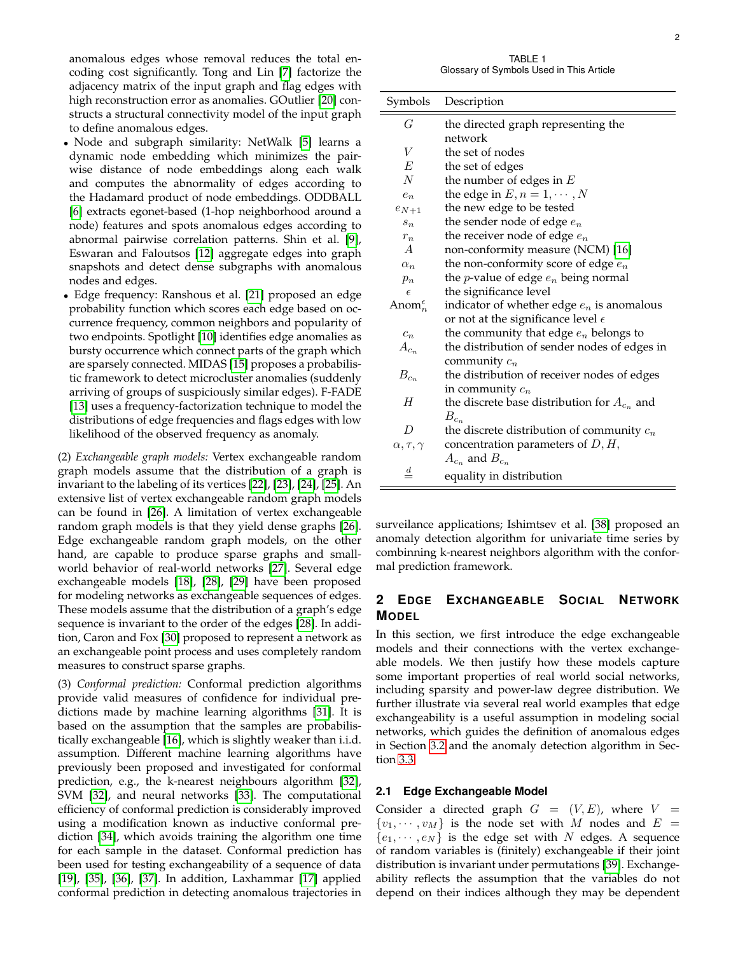anomalous edges whose removal reduces the total encoding cost significantly. Tong and Lin [\[7\]](#page-9-6) factorize the adjacency matrix of the input graph and flag edges with high reconstruction error as anomalies. GOutlier [\[20\]](#page-9-19) constructs a structural connectivity model of the input graph to define anomalous edges.

- Node and subgraph similarity: NetWalk [\[5\]](#page-9-4) learns a dynamic node embedding which minimizes the pairwise distance of node embeddings along each walk and computes the abnormality of edges according to the Hadamard product of node embeddings. ODDBALL [\[6\]](#page-9-5) extracts egonet-based (1-hop neighborhood around a node) features and spots anomalous edges according to abnormal pairwise correlation patterns. Shin et al. [\[9\]](#page-9-8), Eswaran and Faloutsos [\[12\]](#page-9-11) aggregate edges into graph snapshots and detect dense subgraphs with anomalous nodes and edges.
- Edge frequency: Ranshous et al. [\[21\]](#page-9-20) proposed an edge probability function which scores each edge based on occurrence frequency, common neighbors and popularity of two endpoints. Spotlight [\[10\]](#page-9-9) identifies edge anomalies as bursty occurrence which connect parts of the graph which are sparsely connected. MIDAS [\[15\]](#page-9-14) proposes a probabilistic framework to detect microcluster anomalies (suddenly arriving of groups of suspiciously similar edges). F-FADE [\[13\]](#page-9-12) uses a frequency-factorization technique to model the distributions of edge frequencies and flags edges with low likelihood of the observed frequency as anomaly.

(2) *Exchangeable graph models:* Vertex exchangeable random graph models assume that the distribution of a graph is invariant to the labeling of its vertices [\[22\]](#page-9-21), [\[23\]](#page-9-22), [\[24\]](#page-9-23), [\[25\]](#page-9-24). An extensive list of vertex exchangeable random graph models can be found in [\[26\]](#page-9-25). A limitation of vertex exchangeable random graph models is that they yield dense graphs [\[26\]](#page-9-25). Edge exchangeable random graph models, on the other hand, are capable to produce sparse graphs and smallworld behavior of real-world networks [\[27\]](#page-9-26). Several edge exchangeable models [\[18\]](#page-9-17), [\[28\]](#page-9-27), [\[29\]](#page-9-28) have been proposed for modeling networks as exchangeable sequences of edges. These models assume that the distribution of a graph's edge sequence is invariant to the order of the edges [\[28\]](#page-9-27). In addition, Caron and Fox [\[30\]](#page-10-0) proposed to represent a network as an exchangeable point process and uses completely random measures to construct sparse graphs.

(3) *Conformal prediction:* Conformal prediction algorithms provide valid measures of confidence for individual predictions made by machine learning algorithms [\[31\]](#page-10-1). It is based on the assumption that the samples are probabilistically exchangeable [\[16\]](#page-9-15), which is slightly weaker than i.i.d. assumption. Different machine learning algorithms have previously been proposed and investigated for conformal prediction, e.g., the k-nearest neighbours algorithm [\[32\]](#page-10-2), SVM [\[32\]](#page-10-2), and neural networks [\[33\]](#page-10-3). The computational efficiency of conformal prediction is considerably improved using a modification known as inductive conformal prediction [\[34\]](#page-10-4), which avoids training the algorithm one time for each sample in the dataset. Conformal prediction has been used for testing exchangeability of a sequence of data [\[19\]](#page-9-18), [\[35\]](#page-10-5), [\[36\]](#page-10-6), [\[37\]](#page-10-7). In addition, Laxhammar [\[17\]](#page-9-16) applied conformal prediction in detecting anomalous trajectories in

TABLE 1 Glossary of Symbols Used in This Article

| Symbols                | Description                                      |
|------------------------|--------------------------------------------------|
| G                      | the directed graph representing the              |
|                        | network                                          |
| V                      | the set of nodes                                 |
| E                      | the set of edges                                 |
| $\overline{N}$         | the number of edges in $E$                       |
| $e_n$                  | the edge in $E, n = 1, \dots, N$                 |
| $e_{N+1}$              | the new edge to be tested                        |
| $S_n$                  | the sender node of edge $e_n$                    |
| $r_n$                  | the receiver node of edge $e_n$                  |
| $\overline{A}$         | non-conformity measure (NCM) [16]                |
| $\alpha_n$             | the non-conformity score of edge $e_n$           |
| $p_n$                  | the <i>p</i> -value of edge $e_n$ being normal   |
| $\epsilon$             | the significance level                           |
| Anom $_n^{\epsilon}$   | indicator of whether edge $e_n$ is anomalous     |
|                        | or not at the significance level $\epsilon$      |
| $c_n$                  | the community that edge $e_n$ belongs to         |
| $A_{c_n}$              | the distribution of sender nodes of edges in     |
|                        | community $c_n$                                  |
| $B_{c_n}$              | the distribution of receiver nodes of edges      |
|                        | in community $c_n$                               |
| H                      | the discrete base distribution for $A_{c_n}$ and |
|                        | $B_{c_n}$                                        |
| D                      | the discrete distribution of community $c_n$     |
| $\alpha, \tau, \gamma$ | concentration parameters of $D, H$ ,             |
|                        | $A_{c_n}$ and $B_{c_n}$                          |
| $\frac{d}{ }$          | equality in distribution                         |

surveilance applications; Ishimtsev et al. [\[38\]](#page-10-8) proposed an anomaly detection algorithm for univariate time series by combinning k-nearest neighbors algorithm with the conformal prediction framework.

# <span id="page-1-0"></span>**2 EDGE EXCHANGEABLE SOCIAL NETWORK MODEL**

In this section, we first introduce the edge exchangeable models and their connections with the vertex exchangeable models. We then justify how these models capture some important properties of real world social networks, including sparsity and power-law degree distribution. We further illustrate via several real world examples that edge exchangeability is a useful assumption in modeling social networks, which guides the definition of anomalous edges in Section [3.2](#page-4-0) and the anomaly detection algorithm in Section [3.3.](#page-4-1)

## <span id="page-1-1"></span>**2.1 Edge Exchangeable Model**

Consider a directed graph  $G = (V, E)$ , where  $V =$  $\{v_1, \dots, v_M\}$  is the node set with M nodes and  $E =$  $\{e_1, \dots, e_N\}$  is the edge set with N edges. A sequence of random variables is (finitely) exchangeable if their joint distribution is invariant under permutations [\[39\]](#page-10-9). Exchangeability reflects the assumption that the variables do not depend on their indices although they may be dependent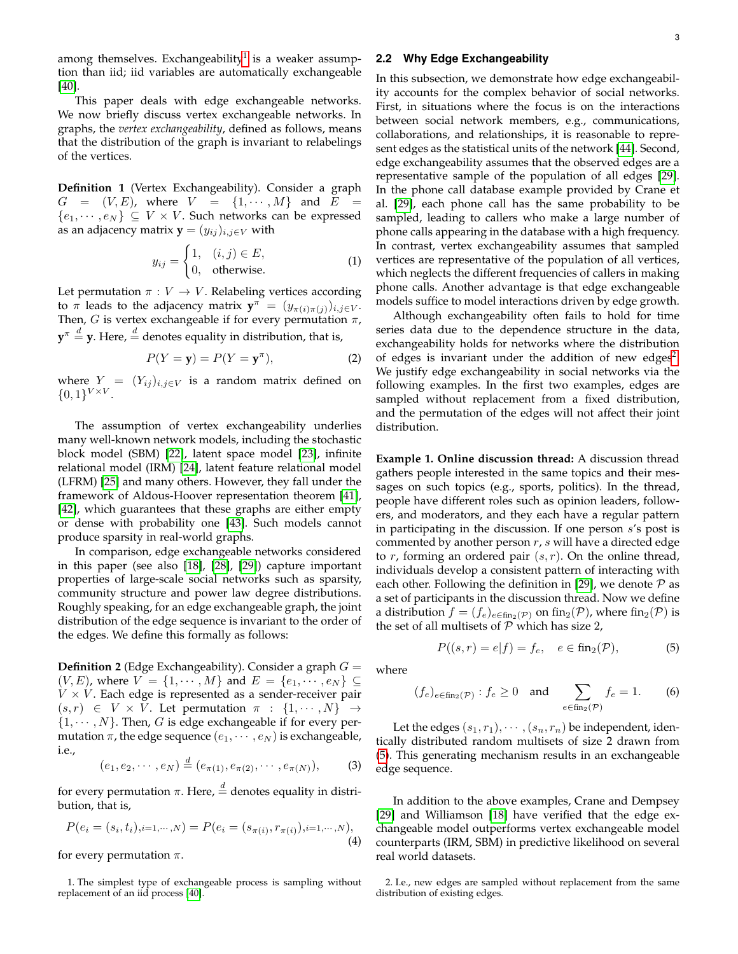among themselves. Exchangeability $^1$  $^1$  is a weaker assumption than iid; iid variables are automatically exchangeable [\[40\]](#page-10-10).

This paper deals with edge exchangeable networks. We now briefly discuss vertex exchangeable networks. In graphs, the *vertex exchangeability*, defined as follows, means that the distribution of the graph is invariant to relabelings of the vertices.

**Definition 1** (Vertex Exchangeability). Consider a graph  $G~=~(V,E),~$  where  $~V~=~\{1,\cdots,M\}~$  and  $~E$  ${e_1, \dots, e_N} \subseteq V \times V$ . Such networks can be expressed as an adjacency matrix **y** =  $(y_{ij})_{i,j\in V}$  with

$$
y_{ij} = \begin{cases} 1, & (i,j) \in E, \\ 0, & \text{otherwise.} \end{cases}
$$
 (1)

Let permutation  $\pi : V \to V$ . Relabeling vertices according to  $\pi$  leads to the adjacency matrix  $y^{\pi} = (y_{\pi(i)\pi(j)})_{i,j\in V}$ . Then, G is vertex exchangeable if for every permutation  $\pi$ ,  $\mathbf{y}^{\pi} \overset{d}{=} \mathbf{y}.$  Here,  $\overset{d}{=}$  denotes equality in distribution, that is,

$$
P(Y = y) = P(Y = y^{\pi}),
$$
 (2)

where  $Y = (Y_{ij})_{i,j \in V}$  is a random matrix defined on  $\{0,1\}^{V\times V}.$ 

The assumption of vertex exchangeability underlies many well-known network models, including the stochastic block model (SBM) [\[22\]](#page-9-21), latent space model [\[23\]](#page-9-22), infinite relational model (IRM) [\[24\]](#page-9-23), latent feature relational model (LFRM) [\[25\]](#page-9-24) and many others. However, they fall under the framework of Aldous-Hoover representation theorem [\[41\]](#page-10-11), [\[42\]](#page-10-12), which guarantees that these graphs are either empty or dense with probability one [\[43\]](#page-10-13). Such models cannot produce sparsity in real-world graphs.

In comparison, edge exchangeable networks considered in this paper (see also [\[18\]](#page-9-17), [\[28\]](#page-9-27), [\[29\]](#page-9-28)) capture important properties of large-scale social networks such as sparsity, community structure and power law degree distributions. Roughly speaking, for an edge exchangeable graph, the joint distribution of the edge sequence is invariant to the order of the edges. We define this formally as follows:

**Definition 2** (Edge Exchangeability). Consider a graph  $G =$  $(V, E)$ , where  $V = \{1, \dots, M\}$  and  $E = \{e_1, \dots, e_N\} \subseteq$  $V \times V$ . Each edge is represented as a sender-receiver pair  $(s, r) \in V \times V$ . Let permutation  $\pi : \{1, \dots, N\} \rightarrow$  $\{1, \dots, N\}$ . Then, G is edge exchangeable if for every permutation  $\pi$ , the edge sequence  $(e_1, \dots, e_N)$  is exchangeable, i.e.,

$$
(e_1, e_2, \cdots, e_N) \stackrel{d}{=} (e_{\pi(1)}, e_{\pi(2)}, \cdots, e_{\pi(N)}),
$$
 (3)

for every permutation  $\pi$ . Here,  $\stackrel{d}{=}$  denotes equality in distribution, that is,

$$
P(e_i = (s_i, t_i), i=1,\dots,N) = P(e_i = (s_{\pi(i)}, r_{\pi(i)}), i=1,\dots,N),
$$
\n(4)

for every permutation  $\pi$ .

<span id="page-2-0"></span>1. The simplest type of exchangeable process is sampling without replacement of an iid process [\[40\]](#page-10-10).

## <span id="page-2-3"></span>**2.2 Why Edge Exchangeability**

In this subsection, we demonstrate how edge exchangeability accounts for the complex behavior of social networks. First, in situations where the focus is on the interactions between social network members, e.g., communications, collaborations, and relationships, it is reasonable to represent edges as the statistical units of the network [\[44\]](#page-10-14). Second, edge exchangeability assumes that the observed edges are a representative sample of the population of all edges [\[29\]](#page-9-28). In the phone call database example provided by Crane et al. [\[29\]](#page-9-28), each phone call has the same probability to be sampled, leading to callers who make a large number of phone calls appearing in the database with a high frequency. In contrast, vertex exchangeability assumes that sampled vertices are representative of the population of all vertices, which neglects the different frequencies of callers in making phone calls. Another advantage is that edge exchangeable models suffice to model interactions driven by edge growth.

Although exchangeability often fails to hold for time series data due to the dependence structure in the data, exchangeability holds for networks where the distribution of edges is invariant under the addition of new edges<sup>[2](#page-2-1)</sup>. We justify edge exchangeability in social networks via the following examples. In the first two examples, edges are sampled without replacement from a fixed distribution, and the permutation of the edges will not affect their joint distribution.

**Example 1. Online discussion thread:** A discussion thread gathers people interested in the same topics and their messages on such topics (e.g., sports, politics). In the thread, people have different roles such as opinion leaders, followers, and moderators, and they each have a regular pattern in participating in the discussion. If one person s's post is commented by another person  $r$ ,  $s$  will have a directed edge to r, forming an ordered pair  $(s, r)$ . On the online thread, individuals develop a consistent pattern of interacting with each other. Following the definition in [\[29\]](#page-9-28), we denote  $P$  as a set of participants in the discussion thread. Now we define a distribution  $f = (f_e)_{e \in \text{fin}_2(\mathcal{P})}$  on fin $_2(\mathcal{P})$ , where fin $_2(\mathcal{P})$  is the set of all multisets of  $P$  which has size 2,

<span id="page-2-2"></span>
$$
P((s,r) = e|f) = f_e, \quad e \in \text{fin}_2(\mathcal{P}), \tag{5}
$$

where

$$
(f_e)_{e \in \text{fin}_2(\mathcal{P})} : f_e \ge 0 \quad \text{and} \quad \sum_{e \in \text{fin}_2(\mathcal{P})} f_e = 1. \tag{6}
$$

Let the edges  $(s_1, r_1), \cdots, (s_n, r_n)$  be independent, identically distributed random multisets of size 2 drawn from [\(5\)](#page-2-2). This generating mechanism results in an exchangeable edge sequence.

In addition to the above examples, Crane and Dempsey [\[29\]](#page-9-28) and Williamson [\[18\]](#page-9-17) have verified that the edge exchangeable model outperforms vertex exchangeable model counterparts (IRM, SBM) in predictive likelihood on several real world datasets.

<span id="page-2-1"></span><sup>2.</sup> I.e., new edges are sampled without replacement from the same distribution of existing edges.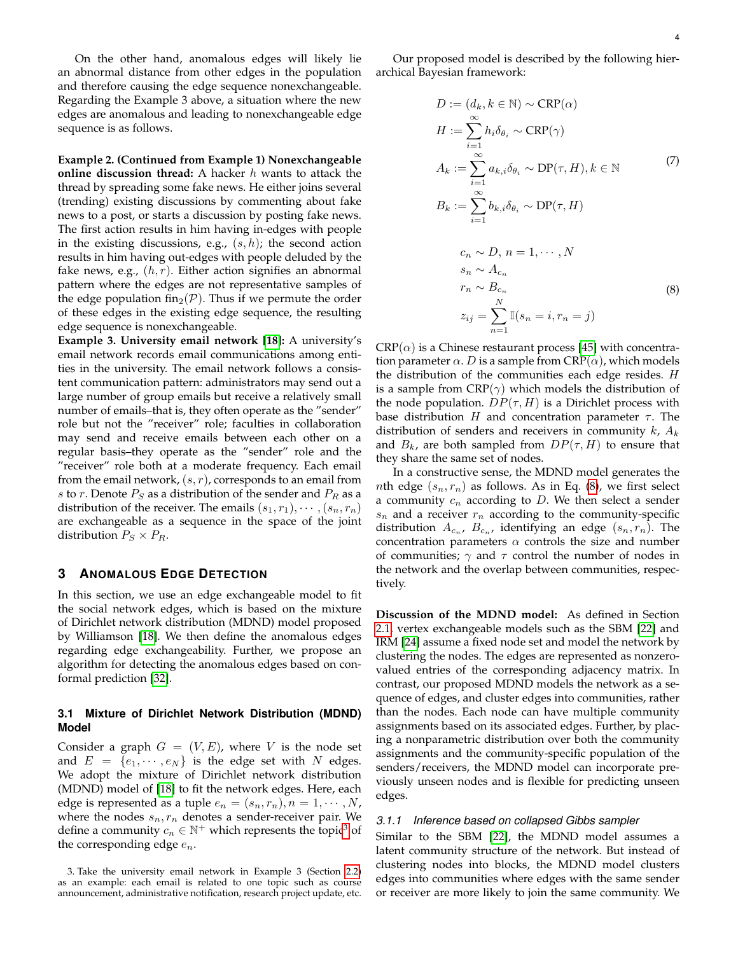On the other hand, anomalous edges will likely lie an abnormal distance from other edges in the population and therefore causing the edge sequence nonexchangeable. Regarding the Example 3 above, a situation where the new edges are anomalous and leading to nonexchangeable edge sequence is as follows.

**Example 2. (Continued from Example 1) Nonexchangeable online discussion thread:** A hacker h wants to attack the thread by spreading some fake news. He either joins several (trending) existing discussions by commenting about fake news to a post, or starts a discussion by posting fake news. The first action results in him having in-edges with people in the existing discussions, e.g.,  $(s, h)$ ; the second action results in him having out-edges with people deluded by the fake news, e.g.,  $(h, r)$ . Either action signifies an abnormal pattern where the edges are not representative samples of the edge population fin<sub>2</sub>( $\mathcal{P}$ ). Thus if we permute the order of these edges in the existing edge sequence, the resulting edge sequence is nonexchangeable.

**Example 3. University email network [\[18\]](#page-9-17):** A university's email network records email communications among entities in the university. The email network follows a consistent communication pattern: administrators may send out a large number of group emails but receive a relatively small number of emails–that is, they often operate as the "sender" role but not the "receiver" role; faculties in collaboration may send and receive emails between each other on a regular basis–they operate as the "sender" role and the "receiver" role both at a moderate frequency. Each email from the email network,  $(s, r)$ , corresponds to an email from s to r. Denote  $P_S$  as a distribution of the sender and  $P_R$  as a distribution of the receiver. The emails  $(s_1, r_1), \cdots, (s_n, r_n)$ are exchangeable as a sequence in the space of the joint distribution  $P_S \times P_R$ .

#### **3 ANOMALOUS EDGE DETECTION**

In this section, we use an edge exchangeable model to fit the social network edges, which is based on the mixture of Dirichlet network distribution (MDND) model proposed by Williamson [\[18\]](#page-9-17). We then define the anomalous edges regarding edge exchangeability. Further, we propose an algorithm for detecting the anomalous edges based on conformal prediction [\[32\]](#page-10-2).

# <span id="page-3-0"></span>**3.1 Mixture of Dirichlet Network Distribution (MDND) Model**

Consider a graph  $G = (V, E)$ , where V is the node set and  $E = \{e_1, \dots, e_N\}$  is the edge set with N edges. We adopt the mixture of Dirichlet network distribution (MDND) model of [\[18\]](#page-9-17) to fit the network edges. Here, each edge is represented as a tuple  $e_n = (s_n, r_n), n = 1, \cdots, N$ , where the nodes  $s_n, r_n$  denotes a sender-receiver pair. We define a community  $c_n \in \mathbb{N}^+$  which represents the topic<sup>[3](#page-3-1)</sup> of the corresponding edge  $e_n$ .

Our proposed model is described by the following hierarchical Bayesian framework:

$$
D := (d_k, k \in \mathbb{N}) \sim \text{CRP}(\alpha)
$$
  
\n
$$
H := \sum_{i=1}^{\infty} h_i \delta_{\theta_i} \sim \text{CRP}(\gamma)
$$
  
\n
$$
A_k := \sum_{i=1}^{\infty} a_{k,i} \delta_{\theta_i} \sim \text{DP}(\tau, H), k \in \mathbb{N}
$$
  
\n
$$
B_k := \sum_{i=1}^{\infty} b_{k,i} \delta_{\theta_i} \sim \text{DP}(\tau, H)
$$
  
\n
$$
c_n \sim D, n = 1, \dots, N
$$
  
\n
$$
s_n \sim A_{c_n}
$$
  
\n
$$
r_n \sim B_{c_n}
$$
  
\n
$$
z_{ij} = \sum_{n=1}^N \mathbb{I}(s_n = i, r_n = j)
$$
  
\n(8)

<span id="page-3-2"></span> $CRP(\alpha)$  is a Chinese restaurant process [\[45\]](#page-10-15) with concentration parameter  $\alpha$ . D is a sample from CRP( $\alpha$ ), which models the distribution of the communities each edge resides.  $H$ is a sample from  $CRP(\gamma)$  which models the distribution of the node population.  $DP(\tau, H)$  is a Dirichlet process with base distribution  $H$  and concentration parameter  $\tau$ . The distribution of senders and receivers in community  $k$ ,  $A_k$ and  $B_k$ , are both sampled from  $DP(\tau, H)$  to ensure that they share the same set of nodes.

In a constructive sense, the MDND model generates the *nth* edge  $(s_n, r_n)$  as follows. As in Eq. [\(8\)](#page-3-2), we first select a community  $c_n$  according to  $D$ . We then select a sender  $s_n$  and a receiver  $r_n$  according to the community-specific distribution  $A_{c_n}$ ,  $B_{c_n}$ , identifying an edge  $(s_n, r_n)$ . The concentration parameters  $\alpha$  controls the size and number of communities;  $\gamma$  and  $\tau$  control the number of nodes in the network and the overlap between communities, respectively.

**Discussion of the MDND model:** As defined in Section [2.1,](#page-1-1) vertex exchangeable models such as the SBM [\[22\]](#page-9-21) and IRM [\[24\]](#page-9-23) assume a fixed node set and model the network by clustering the nodes. The edges are represented as nonzerovalued entries of the corresponding adjacency matrix. In contrast, our proposed MDND models the network as a sequence of edges, and cluster edges into communities, rather than the nodes. Each node can have multiple community assignments based on its associated edges. Further, by placing a nonparametric distribution over both the community assignments and the community-specific population of the senders/receivers, the MDND model can incorporate previously unseen nodes and is flexible for predicting unseen edges.

# *3.1.1 Inference based on collapsed Gibbs sampler*

Similar to the SBM [\[22\]](#page-9-21), the MDND model assumes a latent community structure of the network. But instead of clustering nodes into blocks, the MDND model clusters edges into communities where edges with the same sender or receiver are more likely to join the same community. We

<span id="page-3-1"></span><sup>3.</sup> Take the university email network in Example 3 (Section [2.2\)](#page-2-3) as an example: each email is related to one topic such as course announcement, administrative notification, research project update, etc.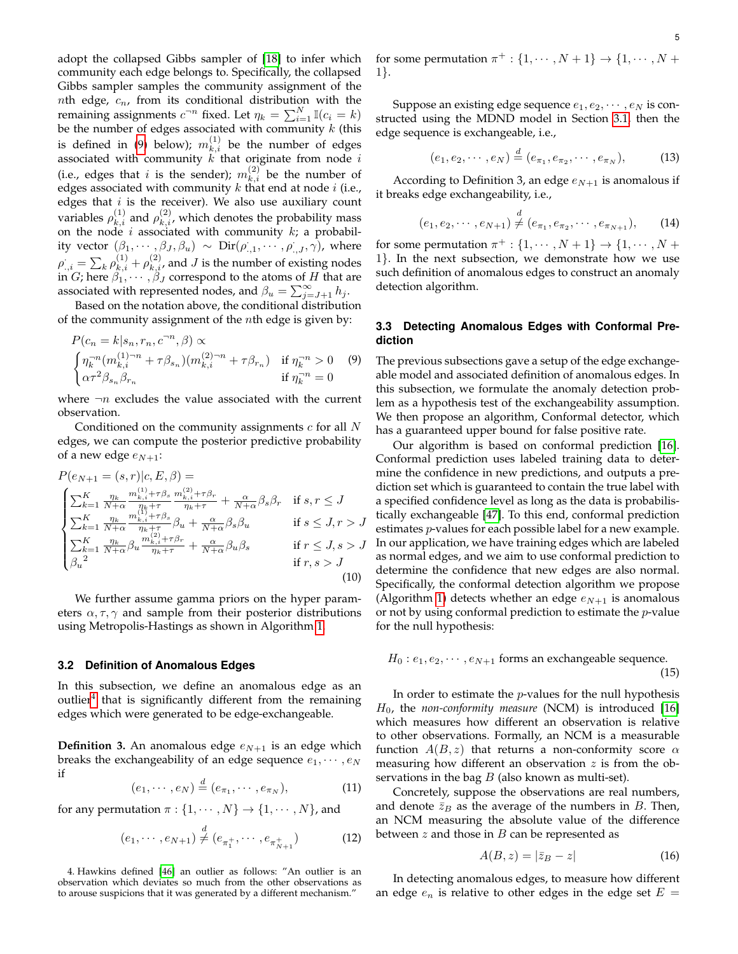adopt the collapsed Gibbs sampler of [\[18\]](#page-9-17) to infer which community each edge belongs to. Specifically, the collapsed Gibbs sampler samples the community assignment of the *nth* edge,  $c_n$ , from its conditional distribution with the remaining assignments  $c^{-n}$  fixed. Let  $\eta_k = \sum_{i=1}^N \mathbb{I}(c_i = k)$ be the number of edges associated with community  $k$  (this is defined in [\(9\)](#page-4-2) below);  $m_{k,i}^{(1)}$  be the number of edges associated with community  $k$  that originate from node  $i$ (i.e., edges that i is the sender);  $m_{k,i}^{(2)}$  be the number of edges associated with community  $k$  that end at node  $i$  (i.e., edges that  $i$  is the receiver). We also use auxiliary count variables  $\rho_{k,i}^{(1)}$  and  $\rho_{k,i}^{(2)}$ , which denotes the probability mass on the node  $i$  associated with community  $k$ ; a probability vector  $(\beta_1,\cdots,\beta_J,\beta_u) \sim \text{Dir}(\rho_{.,1}^{\cdot},\cdots,\rho_{.,J}^{\cdot},\gamma)$ , where  $\rho_{.,i}^{\cdot} = \sum_k \rho_{k,i}^{(1)} + \rho_{k,i}^{(2)}$ , and  $J$  is the number of existing nodes in G; here  $\beta_1, \cdots, \beta_J$  correspond to the atoms of H that are associated with represented nodes, and  $\beta_u = \sum_{j=J+1}^{\infty} h_j$ .

Based on the notation above, the conditional distribution of the community assignment of the  $n$ th edge is given by:

<span id="page-4-2"></span>
$$
P(c_n = k | s_n, r_n, c^{-n}, \beta) \propto
$$
  
\n
$$
\begin{cases} \eta_k^{-n} (m_{k,i}^{(1)-n} + \tau \beta_{s_n}) (m_{k,i}^{(2)-n} + \tau \beta_{r_n}) & \text{if } \eta_k^{-n} > 0 \\ \alpha \tau^2 \beta_{s_n} \beta_{r_n} & \text{if } \eta_k^{-n} = 0 \end{cases}
$$
 (9)

where  $\neg n$  excludes the value associated with the current observation.

Conditioned on the community assignments  $c$  for all  $N$ edges, we can compute the posterior predictive probability of a new edge  $e_{N+1}$ :

<span id="page-4-4"></span>
$$
P(e_{N+1} = (s,r)|c, E, \beta) =
$$
\n
$$
\begin{cases}\n\sum_{k=1}^{K} \frac{\eta_k}{N+\alpha} \frac{m_{k,i}^{(1)} + \tau \beta_s}{\eta_k + \tau} \frac{m_{k,i}^{(2)} + \tau \beta_r}{\eta_k + \tau} + \frac{\alpha}{N+\alpha} \beta_s \beta_r & \text{if } s, r \le J \\
\sum_{k=1}^{K} \frac{\eta_k}{N+\alpha} \frac{m_{k,i}^{(1)} + \tau \beta_s}{\eta_k + \tau} \beta_u + \frac{\alpha}{N+\alpha} \beta_s \beta_u & \text{if } s \le J, r > J \\
\sum_{k=1}^{K} \frac{\eta_k}{N+\alpha} \beta_u \frac{m_{k,i}^{(2)} + \tau \beta_r}{\eta_k + \tau} + \frac{\alpha}{N+\alpha} \beta_u \beta_s & \text{if } r \le J, s > J \\
\beta_u & \text{if } r, s > J\n\end{cases}
$$
\n(10)

We further assume gamma priors on the hyper parameters  $\alpha, \tau, \gamma$  and sample from their posterior distributions using Metropolis-Hastings as shown in Algorithm [1.](#page-5-1)

#### <span id="page-4-0"></span>**3.2 Definition of Anomalous Edges**

In this subsection, we define an anomalous edge as an outlier<sup>[4](#page-4-3)</sup> that is significantly different from the remaining edges which were generated to be edge-exchangeable.

**Definition 3.** An anomalous edge  $e_{N+1}$  is an edge which breaks the exchangeability of an edge sequence  $e_1, \dots, e_N$ if

$$
(e_1, \cdots, e_N) \stackrel{d}{=} (e_{\pi_1}, \cdots, e_{\pi_N}), \tag{11}
$$

for any permutation  $\pi : \{1, \cdots, N\} \rightarrow \{1, \cdots, N\}$ , and

$$
(e_1, \cdots, e_{N+1}) \stackrel{d}{\neq} (e_{\pi_1^+}, \cdots, e_{\pi_{N+1}^+}) \tag{12}
$$

<span id="page-4-3"></span>4. Hawkins defined [\[46\]](#page-10-16) an outlier as follows: "An outlier is an observation which deviates so much from the other observations as to arouse suspicions that it was generated by a different mechanism."

5

for some permutation  $\pi^+$  :  $\{1, \cdots, N+1\} \rightarrow \{1, \cdots, N+1\}$ 1}.

Suppose an existing edge sequence  $e_1, e_2, \cdots, e_N$  is constructed using the MDND model in Section [3.1,](#page-3-0) then the edge sequence is exchangeable, i.e.,

$$
(e_1, e_2, \cdots, e_N) \stackrel{d}{=} (e_{\pi_1}, e_{\pi_2}, \cdots, e_{\pi_N}),
$$
 (13)

According to Definition 3, an edge  $e_{N+1}$  is anomalous if it breaks edge exchangeability, i.e.,

$$
(e_1, e_2, \cdots, e_{N+1}) \stackrel{d}{\neq} (e_{\pi_1}, e_{\pi_2}, \cdots, e_{\pi_{N+1}}), \qquad (14)
$$

for some permutation  $\pi^+$  :  $\{1, \cdots, N+1\} \rightarrow \{1, \cdots, N+1\}$ 1}. In the next subsection, we demonstrate how we use such definition of anomalous edges to construct an anomaly detection algorithm.

# <span id="page-4-1"></span>**3.3 Detecting Anomalous Edges with Conformal Prediction**

The previous subsections gave a setup of the edge exchangeable model and associated definition of anomalous edges. In this subsection, we formulate the anomaly detection problem as a hypothesis test of the exchangeability assumption. We then propose an algorithm, Conformal detector, which has a guaranteed upper bound for false positive rate.

Our algorithm is based on conformal prediction [\[16\]](#page-9-15). Conformal prediction uses labeled training data to determine the confidence in new predictions, and outputs a prediction set which is guaranteed to contain the true label with a specified confidence level as long as the data is probabilistically exchangeable [\[47\]](#page-10-17). To this end, conformal prediction estimates *p*-values for each possible label for a new example. In our application, we have training edges which are labeled as normal edges, and we aim to use conformal prediction to determine the confidence that new edges are also normal. Specifically, the conformal detection algorithm we propose (Algorithm [1\)](#page-5-1) detects whether an edge  $e_{N+1}$  is anomalous or not by using conformal prediction to estimate the  $p$ -value for the null hypothesis:

$$
H_0: e_1, e_2, \cdots, e_{N+1}
$$
 forms an exchangeable sequence. (15)

In order to estimate the  $p$ -values for the null hypothesis  $H_0$ , the *non-conformity measure* (NCM) is introduced [\[16\]](#page-9-15) which measures how different an observation is relative to other observations. Formally, an NCM is a measurable function  $A(B, z)$  that returns a non-conformity score  $\alpha$ measuring how different an observation  $z$  is from the observations in the bag  $B$  (also known as multi-set).

Concretely, suppose the observations are real numbers, and denote  $\bar{z}_B$  as the average of the numbers in B. Then, an NCM measuring the absolute value of the difference between  $z$  and those in  $B$  can be represented as

$$
A(B, z) = |\bar{z}_B - z| \tag{16}
$$

In detecting anomalous edges, to measure how different an edge  $e_n$  is relative to other edges in the edge set  $E =$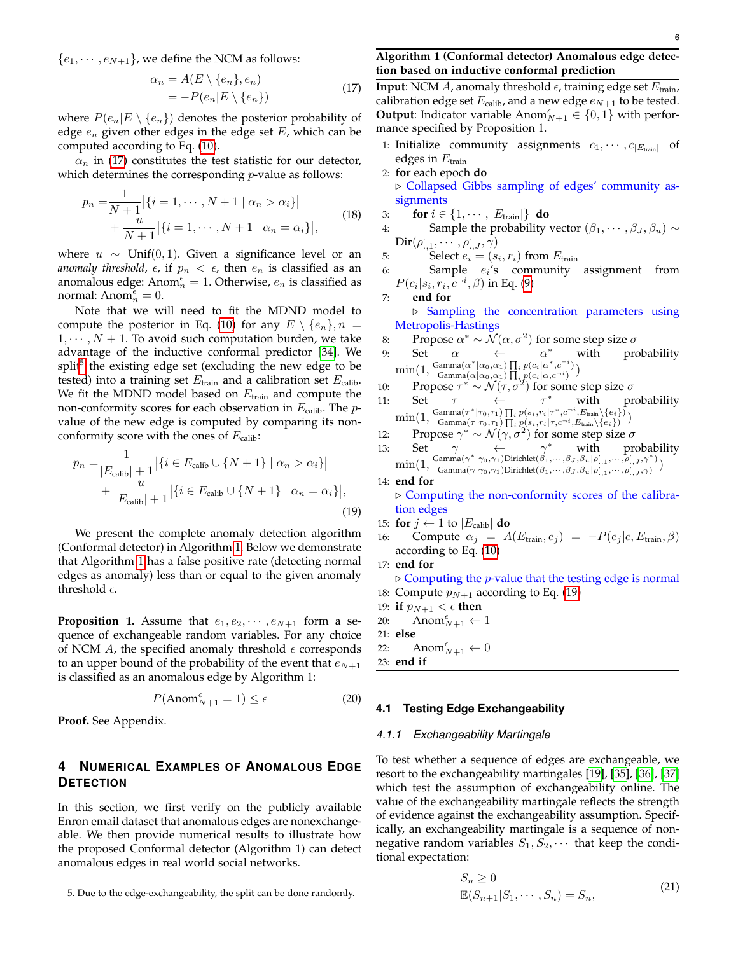<span id="page-5-2"></span> ${e_1, \dots, e_{N+1}}$ , we define the NCM as follows:

$$
\alpha_n = A(E \setminus \{e_n\}, e_n)
$$
  
=  $-P(e_n|E \setminus \{e_n\})$  (17)

where  $P(e_n|E \setminus \{e_n\})$  denotes the posterior probability of edge  $e_n$  given other edges in the edge set  $E$ , which can be computed according to Eq. [\(10\)](#page-4-4).

 $\alpha_n$  in [\(17\)](#page-5-2) constitutes the test statistic for our detector, which determines the corresponding  $p$ -value as follows:

<span id="page-5-5"></span>
$$
p_n = \frac{1}{N+1} |\{i = 1, \cdots, N+1 \mid \alpha_n > \alpha_i\}|
$$
  
+ 
$$
\frac{u}{N+1} |\{i = 1, \cdots, N+1 \mid \alpha_n = \alpha_i\}|,
$$
 (18)

where  $u \sim$  Unif(0, 1). Given a significance level or an *anomaly threshold,*  $\epsilon$ , if  $p_n < \epsilon$ , then  $e_n$  is classified as an anomalous edge: Anom $\frac{e}{n} = 1$ . Otherwise,  $e_n$  is classified as normal:  $\text{Anom}_{n}^{\epsilon} = 0.$ 

Note that we will need to fit the MDND model to compute the posterior in Eq. [\(10\)](#page-4-4) for any  $E \setminus \{e_n\}, n =$  $1, \dots, N + 1$ . To avoid such computation burden, we take advantage of the inductive conformal predictor [\[34\]](#page-10-4). We split<sup>[5](#page-5-3)</sup> the existing edge set (excluding the new edge to be tested) into a training set  $E_{\text{train}}$  and a calibration set  $E_{\text{calib}}$ . We fit the MDND model based on  $E_{\text{train}}$  and compute the non-conformity scores for each observation in  $E_{\text{calib}}$ . The pvalue of the new edge is computed by comparing its nonconformity score with the ones of  $E_{\text{calib}}$ :

<span id="page-5-4"></span>
$$
p_n = \frac{1}{|E_{\text{calib}}| + 1} |\{i \in E_{\text{calib}} \cup \{N+1\} | \alpha_n > \alpha_i\}|
$$
  
+ 
$$
\frac{u}{|E_{\text{calib}}| + 1} |\{i \in E_{\text{calib}} \cup \{N+1\} | \alpha_n = \alpha_i\}|,
$$
  
(19)

We present the complete anomaly detection algorithm (Conformal detector) in Algorithm [1.](#page-5-1) Below we demonstrate that Algorithm [1](#page-5-1) has a false positive rate (detecting normal edges as anomaly) less than or equal to the given anomaly threshold  $\epsilon$ .

**Proposition 1.** Assume that  $e_1, e_2, \dots, e_{N+1}$  form a sequence of exchangeable random variables. For any choice of NCM  $A$ , the specified anomaly threshold  $\epsilon$  corresponds to an upper bound of the probability of the event that  $e_{N+1}$ is classified as an anomalous edge by Algorithm 1:

$$
P(\text{Anom}_{N+1}^{\epsilon} = 1) \le \epsilon \tag{20}
$$

**Proof.** See Appendix.

# **4 NUMERICAL EXAMPLES OF ANOMALOUS EDGE DETECTION**

In this section, we first verify on the publicly available Enron email dataset that anomalous edges are nonexchangeable. We then provide numerical results to illustrate how the proposed Conformal detector (Algorithm 1) can detect anomalous edges in real world social networks.

<span id="page-5-3"></span>5. Due to the edge-exchangeability, the split can be done randomly.

# <span id="page-5-1"></span>**Algorithm 1 (Conformal detector) Anomalous edge detection based on inductive conformal prediction**

**Input:** NCM A, anomaly threshold  $\epsilon$ , training edge set  $E_{\text{train}}$ , calibration edge set  $E_{\text{calib}}$ , and a new edge  $e_{N+1}$  to be tested. **Output:** Indicator variable Anom $_{N+1}^{\epsilon} \in \{0,1\}$  with performance specified by Proposition 1.

- 1: Initialize community assignments  $c_1, \cdots, c_{|E_{\text{train}}|}$  of edges in  $E_{\text{train}}$
- 2: **for** each epoch **do** . Collapsed Gibbs sampling of edges' community assignments
- 3: **for**  $i \in \{1, \dots, |E_{\text{train}}|\}$  **do**
- 4: Sample the probability vector  $(\beta_1, \cdots, \beta_J, \beta_u) \sim$  $\text{Dir}(\rho_{\cdot,1}^{\cdot},\cdots,\rho_{\cdot,J}^{\cdot},\gamma)$
- 5: Select  $e_i = (s_i, r_i)$  from  $E_{\text{train}}$
- 6: Sample  $e_i$ 's community assignment from  $P(c_i|s_i,r_i,\overset{\_}{c^{-i}},\beta)$  in Eq. [\(9\)](#page-4-2)
- 7: **end for** . Sampling the concentration parameters using Metropolis-Hastings
- 8: Propose  $\alpha^* \sim \mathcal{N}(\alpha, \sigma^2)$  for some step size  $\sigma$
- 9: Set  $\alpha$   $\leftarrow$   $\alpha$  $\alpha^*$  with probability  $\min(1, \frac{\text{Gamma}(\alpha^*|\alpha_0, \alpha_1) \prod_i p(c_i|\alpha^*, c^{-i})}{\text{Gamma}(\alpha|\alpha_0, \alpha_1) \prod_i p(c_i|\alpha_0, c^{-i})}$  $\frac{\text{Gamma}(\alpha \mid \alpha_0, \alpha_1) \prod_i p(c_i | \alpha \mid, c_{i})}{\text{Gamma}(\alpha | \alpha_0, \alpha_1) \prod_i p(c_i | \alpha, c_{i})})$
- 10: Propose  $\tau^* \sim \mathcal{N}(\tau, \sigma^2)$  for some step size  $\sigma$
- 11: Set  $\tau \leftarrow \tau$  $\tau^*$  with probability  $\min(1, \frac{\text{Gamma}(\tau^*|\tau_0, \tau_1) \prod_i p(s_i, r_i | \tau^*, c^{-i}, E_{\text{train}}(\{e_i\}))}{\text{Gamma}(\tau | \tau_0, \tau_1) \prod_i p(s_i, r_i | \tau, c^{-i}, E_{\text{train}}(\{e_i\}))}$  $\frac{\text{Gamma}(\tau_{0},\tau_{1})\prod_{i}p(s_{i},r_{i}|\tau_{i},c\rightarrow E_{\text{train}}\setminus\{e_{i}\})}{\text{Gamma}(\tau|\tau_{0},\tau_{1})\prod_{i}p(s_{i},r_{i}|\tau_{i},c^{-i},E_{\text{train}}\setminus\{e_{i}\})})$
- 12: Propose  $\gamma^* \sim \mathcal{N}(\gamma, \sigma^2)$  for some step size σ
- 13: Set  $\gamma \leftrightarrow \gamma^*$  with probability  $\min(1, \frac{\text{Gamma}(\gamma^* | \gamma_0, \gamma_1) \text{Dirichlet}(\beta_1, \dots, \beta_J, \beta_u | \rho_{.,1}, \dots, \rho_{.,J}, \gamma^*)}{\text{Gamma}(\gamma | \gamma_0, \gamma_1) \text{Dirichlet}(\beta_1, \dots, \beta_J, \beta_u | \rho_{.,1}, \dots, \rho_{.,J}, \gamma^*)}$  $\frac{\text{Gamma}(\gamma | \gamma_0, \gamma_1) \text{Drinciple}_{\gamma_1}, \cdots, \beta_J, \beta_u | \rho_{\gamma_1,1}, \cdots, \rho_{\gamma_J, J}, \gamma)}{\text{Gamma}(\gamma | \gamma_0, \gamma_1) \text{Dirichlet}(\beta_1, \cdots, \beta_J, \beta_u | \rho_{\gamma_1,1}, \cdots, \rho_{\gamma_J, J}, \gamma)})$
- 14: **end for**  $\triangleright$  Computing the non-conformity scores of the calibration edges
- 15: **for**  $j \leftarrow 1$  to  $|E_{\text{calib}}|$  **do**
- 16: Compute  $\alpha_j = A(E_{\text{train}}, e_j) = -P(e_j | c, E_{\text{train}}, \beta)$ according to Eq. [\(10\)](#page-4-4)
- 17: **end for**

 $\triangleright$  Computing the *p*-value that the testing edge is normal 18: Compute  $p_{N+1}$  according to Eq. [\(19\)](#page-5-4)

- 19: **if**  $p_{N+1} < \epsilon$  **then**
- 20: Anom $_{N+1}^{\epsilon} \leftarrow 1$
- 21: **else**
- 22: Anom $_{N+1}^{\epsilon} \leftarrow 0$

23: **end if**

# <span id="page-5-0"></span>**4.1 Testing Edge Exchangeability**

#### *4.1.1 Exchangeability Martingale*

To test whether a sequence of edges are exchangeable, we resort to the exchangeability martingales [\[19\]](#page-9-18), [\[35\]](#page-10-5), [\[36\]](#page-10-6), [\[37\]](#page-10-7) which test the assumption of exchangeability online. The value of the exchangeability martingale reflects the strength of evidence against the exchangeability assumption. Specifically, an exchangeability martingale is a sequence of nonnegative random variables  $S_1, S_2, \cdots$  that keep the conditional expectation:

<span id="page-5-6"></span>
$$
S_n \ge 0
$$
  

$$
\mathbb{E}(S_{n+1}|S_1,\cdots,S_n) = S_n,
$$
 (21)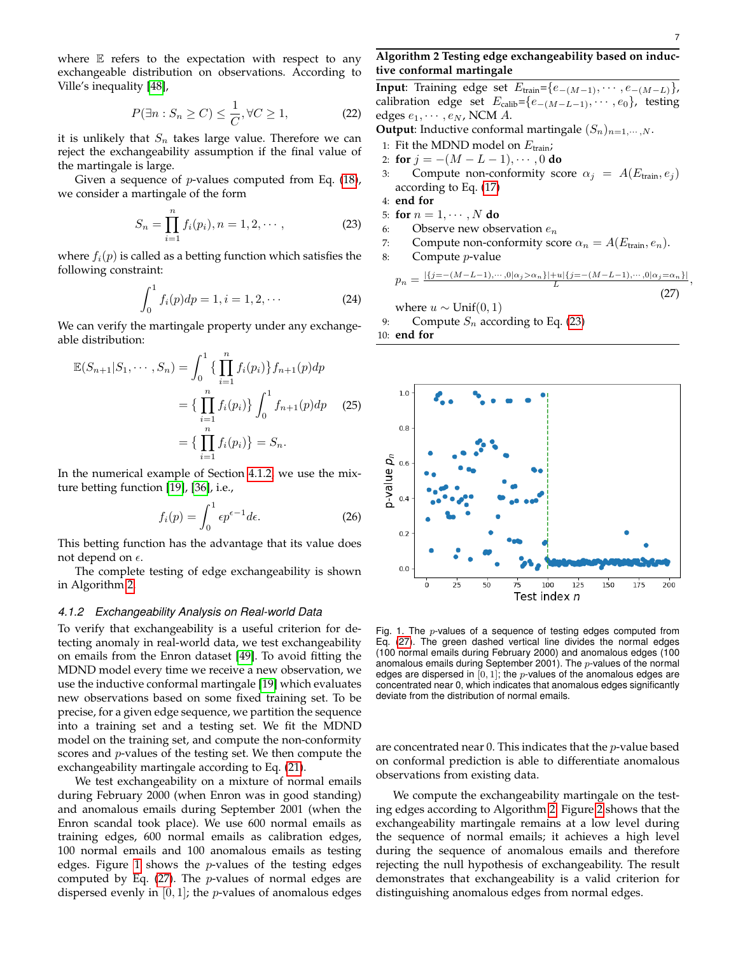,

where  $E$  refers to the expectation with respect to any exchangeable distribution on observations. According to Ville's inequality [\[48\]](#page-10-18),

$$
P(\exists n: S_n \ge C) \le \frac{1}{C}, \forall C \ge 1,
$$
 (22)

it is unlikely that  $S_n$  takes large value. Therefore we can reject the exchangeability assumption if the final value of the martingale is large.

Given a sequence of *p*-values computed from Eq.  $(18)$ , we consider a martingale of the form

<span id="page-6-4"></span>
$$
S_n = \prod_{i=1}^n f_i(p_i), n = 1, 2, \cdots,
$$
 (23)

where  $f_i(p)$  is called as a betting function which satisfies the following constraint:

$$
\int_0^1 f_i(p) dp = 1, i = 1, 2, \cdots
$$
 (24)

We can verify the martingale property under any exchangeable distribution:

$$
\mathbb{E}(S_{n+1}|S_1,\dots,S_n) = \int_0^1 \{ \prod_{i=1}^n f_i(p_i) \} f_{n+1}(p) dp
$$
  
=  $\{ \prod_{i=1}^n f_i(p_i) \} \int_0^1 f_{n+1}(p) dp$  (25)  
=  $\{ \prod_{i=1}^n f_i(p_i) \} = S_n.$ 

In the numerical example of Section [4.1.2,](#page-6-0) we use the mixture betting function [\[19\]](#page-9-18), [\[36\]](#page-10-6), i.e.,

$$
f_i(p) = \int_0^1 \epsilon p^{\epsilon - 1} d\epsilon.
$$
 (26)

This betting function has the advantage that its value does not depend on  $\epsilon$ .

The complete testing of edge exchangeability is shown in Algorithm [2.](#page-6-1)

#### <span id="page-6-0"></span>*4.1.2 Exchangeability Analysis on Real-world Data*

To verify that exchangeability is a useful criterion for detecting anomaly in real-world data, we test exchangeability on emails from the Enron dataset [\[49\]](#page-10-19). To avoid fitting the MDND model every time we receive a new observation, we use the inductive conformal martingale [\[19\]](#page-9-18) which evaluates new observations based on some fixed training set. To be precise, for a given edge sequence, we partition the sequence into a training set and a testing set. We fit the MDND model on the training set, and compute the non-conformity scores and p-values of the testing set. We then compute the exchangeability martingale according to Eq. [\(21\)](#page-5-6).

We test exchangeability on a mixture of normal emails during February 2000 (when Enron was in good standing) and anomalous emails during September 2001 (when the Enron scandal took place). We use 600 normal emails as training edges, 600 normal emails as calibration edges, 100 normal emails and 100 anomalous emails as testing edges. Figure [1](#page-6-2) shows the  $p$ -values of the testing edges computed by Eq.  $(27)$ . The *p*-values of normal edges are dispersed evenly in  $[0, 1]$ ; the *p*-values of anomalous edges

# <span id="page-6-1"></span>**Algorithm 2 Testing edge exchangeability based on inductive conformal martingale**

**Input**: Training edge set  $E_{\text{train}} = \{e_{-(M-1)}, \cdots, e_{-(M-L)}\},\$ calibration edge set  $E_{\text{calib}}=\{e_{-(M-L-1)}, \cdots, e_0\}$ , testing edges  $e_1, \cdots, e_N$ , NCM A.

**Output:** Inductive conformal martingale  $(S_n)_{n=1,\dots,N}$ .

- 1: Fit the MDND model on  $E_{\text{train}}$ ;
- 2: **for**  $j = -(M L 1), \cdots, 0$  **do**
- 3: Compute non-conformity score  $\alpha_i = A(E_{\text{train}}, e_i)$ according to Eq. [\(17\)](#page-5-2)

$$
4: \text{ end for }
$$

- 5: **for**  $n = 1, \dots, N$  **do**
- 6: Observe new observation  $e_n$
- 7: Compute non-conformity score  $\alpha_n = A(E_{\text{train}}, e_n)$ .
- 8: Compute p-value

<span id="page-6-3"></span>
$$
p_n = \frac{|\{j = -(M - L - 1), \cdots, 0 | \alpha_j > \alpha_n\}| + u|\{j = -(M - L - 1), \cdots, 0 | \alpha_j = \alpha_n\}|}{L}
$$
(27)

where  $u \sim$  Unif(0, 1)

9: Compute  $S_n$  according to Eq. [\(23\)](#page-6-4)

10: **end for**



<span id="page-6-2"></span>Fig. 1. The p-values of a sequence of testing edges computed from Eq. [\(27\)](#page-6-3). The green dashed vertical line divides the normal edges (100 normal emails during February 2000) and anomalous edges (100 anomalous emails during September 2001). The  $p$ -values of the normal edges are dispersed in  $[0, 1]$ ; the *p*-values of the anomalous edges are concentrated near 0, which indicates that anomalous edges significantly deviate from the distribution of normal emails.

are concentrated near  $0$ . This indicates that the  $p$ -value based on conformal prediction is able to differentiate anomalous observations from existing data.

We compute the exchangeability martingale on the testing edges according to Algorithm [2.](#page-6-1) Figure [2](#page-7-1) shows that the exchangeability martingale remains at a low level during the sequence of normal emails; it achieves a high level during the sequence of anomalous emails and therefore rejecting the null hypothesis of exchangeability. The result demonstrates that exchangeability is a valid criterion for distinguishing anomalous edges from normal edges.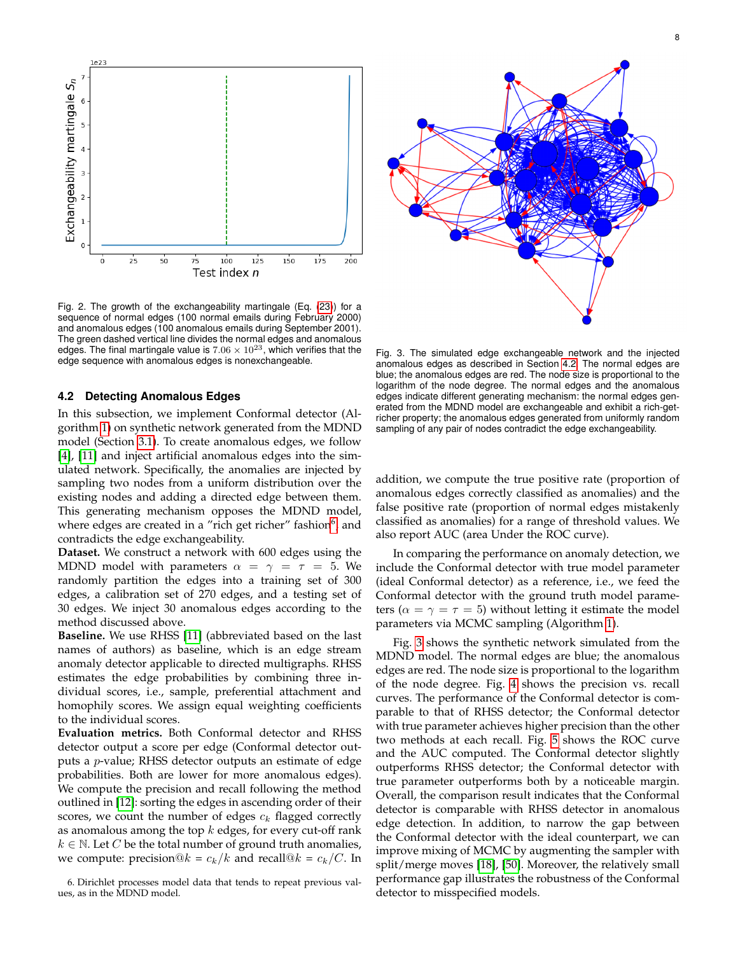

<span id="page-7-1"></span>Fig. 2. The growth of the exchangeability martingale (Eq. [\(23\)](#page-6-4)) for a sequence of normal edges (100 normal emails during February 2000) and anomalous edges (100 anomalous emails during September 2001). The green dashed vertical line divides the normal edges and anomalous edges. The final martingale value is  $7.06 \times 10^{23}$ , which verifies that the edge sequence with anomalous edges is nonexchangeable.

## <span id="page-7-0"></span>**4.2 Detecting Anomalous Edges**

In this subsection, we implement Conformal detector (Algorithm [1\)](#page-5-1) on synthetic network generated from the MDND model (Section [3.1\)](#page-3-0). To create anomalous edges, we follow [\[4\]](#page-9-3), [\[11\]](#page-9-10) and inject artificial anomalous edges into the simulated network. Specifically, the anomalies are injected by sampling two nodes from a uniform distribution over the existing nodes and adding a directed edge between them. This generating mechanism opposes the MDND model, where edges are created in a "rich get richer" fashion $^6$  $^6$ , and contradicts the edge exchangeability.

**Dataset.** We construct a network with 600 edges using the MDND model with parameters  $\alpha = \gamma = \tau = 5$ . We randomly partition the edges into a training set of 300 edges, a calibration set of 270 edges, and a testing set of 30 edges. We inject 30 anomalous edges according to the method discussed above.

**Baseline.** We use RHSS [\[11\]](#page-9-10) (abbreviated based on the last names of authors) as baseline, which is an edge stream anomaly detector applicable to directed multigraphs. RHSS estimates the edge probabilities by combining three individual scores, i.e., sample, preferential attachment and homophily scores. We assign equal weighting coefficients to the individual scores.

**Evaluation metrics.** Both Conformal detector and RHSS detector output a score per edge (Conformal detector outputs a p-value; RHSS detector outputs an estimate of edge probabilities. Both are lower for more anomalous edges). We compute the precision and recall following the method outlined in [\[12\]](#page-9-11): sorting the edges in ascending order of their scores, we count the number of edges  $c_k$  flagged correctly as anomalous among the top  $k$  edges, for every cut-off rank  $k \in \mathbb{N}$ . Let C be the total number of ground truth anomalies, we compute: precision $@k = c_k/k$  and recall $@k = c_k/C$ . In

<span id="page-7-2"></span>



<span id="page-7-3"></span>Fig. 3. The simulated edge exchangeable network and the injected anomalous edges as described in Section [4.2.](#page-7-0) The normal edges are blue; the anomalous edges are red. The node size is proportional to the logarithm of the node degree. The normal edges and the anomalous edges indicate different generating mechanism: the normal edges generated from the MDND model are exchangeable and exhibit a rich-getricher property; the anomalous edges generated from uniformly random sampling of any pair of nodes contradict the edge exchangeability.

addition, we compute the true positive rate (proportion of anomalous edges correctly classified as anomalies) and the false positive rate (proportion of normal edges mistakenly classified as anomalies) for a range of threshold values. We also report AUC (area Under the ROC curve).

In comparing the performance on anomaly detection, we include the Conformal detector with true model parameter (ideal Conformal detector) as a reference, i.e., we feed the Conformal detector with the ground truth model parameters ( $\alpha = \gamma = \tau = 5$ ) without letting it estimate the model parameters via MCMC sampling (Algorithm [1\)](#page-5-1).

Fig. [3](#page-7-3) shows the synthetic network simulated from the MDND model. The normal edges are blue; the anomalous edges are red. The node size is proportional to the logarithm of the node degree. Fig. [4](#page-8-0) shows the precision vs. recall curves. The performance of the Conformal detector is comparable to that of RHSS detector; the Conformal detector with true parameter achieves higher precision than the other two methods at each recall. Fig. [5](#page-8-1) shows the ROC curve and the AUC computed. The Conformal detector slightly outperforms RHSS detector; the Conformal detector with true parameter outperforms both by a noticeable margin. Overall, the comparison result indicates that the Conformal detector is comparable with RHSS detector in anomalous edge detection. In addition, to narrow the gap between the Conformal detector with the ideal counterpart, we can improve mixing of MCMC by augmenting the sampler with split/merge moves [\[18\]](#page-9-17), [\[50\]](#page-10-20). Moreover, the relatively small performance gap illustrates the robustness of the Conformal detector to misspecified models.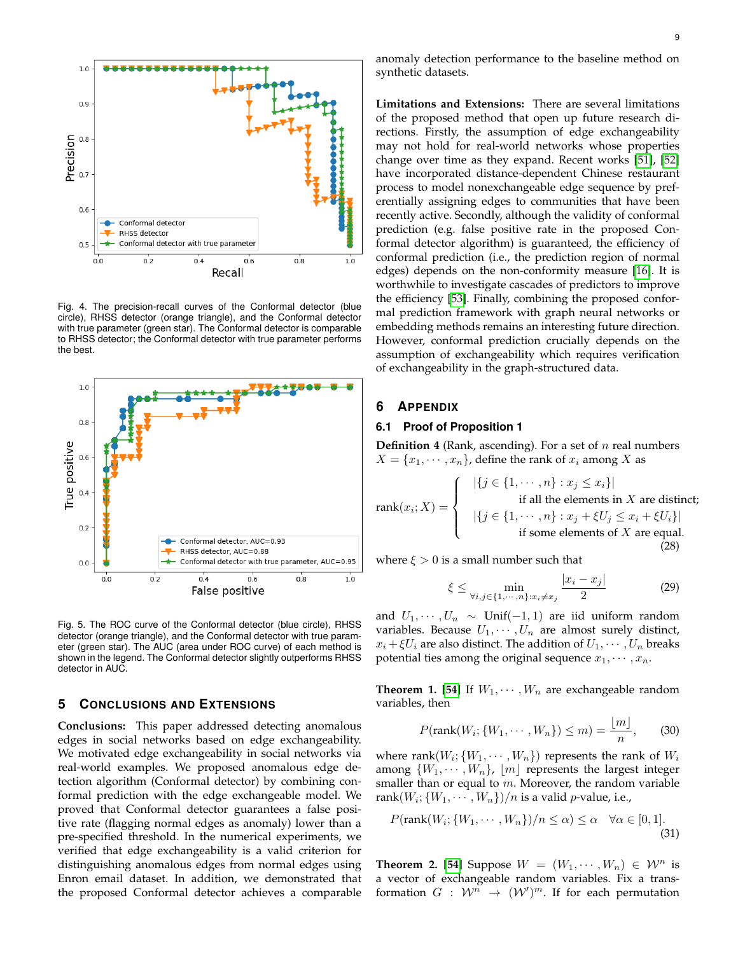

<span id="page-8-0"></span>Fig. 4. The precision-recall curves of the Conformal detector (blue circle), RHSS detector (orange triangle), and the Conformal detector with true parameter (green star). The Conformal detector is comparable to RHSS detector; the Conformal detector with true parameter performs the best.



<span id="page-8-1"></span>Fig. 5. The ROC curve of the Conformal detector (blue circle), RHSS detector (orange triangle), and the Conformal detector with true parameter (green star). The AUC (area under ROC curve) of each method is shown in the legend. The Conformal detector slightly outperforms RHSS detector in AUC.

# **5 CONCLUSIONS AND EXTENSIONS**

**Conclusions:** This paper addressed detecting anomalous edges in social networks based on edge exchangeability. We motivated edge exchangeability in social networks via real-world examples. We proposed anomalous edge detection algorithm (Conformal detector) by combining conformal prediction with the edge exchangeable model. We proved that Conformal detector guarantees a false positive rate (flagging normal edges as anomaly) lower than a pre-specified threshold. In the numerical experiments, we verified that edge exchangeability is a valid criterion for distinguishing anomalous edges from normal edges using Enron email dataset. In addition, we demonstrated that the proposed Conformal detector achieves a comparable **Limitations and Extensions:** There are several limitations of the proposed method that open up future research directions. Firstly, the assumption of edge exchangeability may not hold for real-world networks whose properties change over time as they expand. Recent works [\[51\]](#page-10-21), [\[52\]](#page-10-22) have incorporated distance-dependent Chinese restaurant process to model nonexchangeable edge sequence by preferentially assigning edges to communities that have been recently active. Secondly, although the validity of conformal prediction (e.g. false positive rate in the proposed Conformal detector algorithm) is guaranteed, the efficiency of conformal prediction (i.e., the prediction region of normal edges) depends on the non-conformity measure [\[16\]](#page-9-15). It is worthwhile to investigate cascades of predictors to improve the efficiency [\[53\]](#page-10-23). Finally, combining the proposed conformal prediction framework with graph neural networks or embedding methods remains an interesting future direction. However, conformal prediction crucially depends on the assumption of exchangeability which requires verification of exchangeability in the graph-structured data.

#### **6 APPENDIX**

#### **6.1 Proof of Proposition 1**

**Definition 4** (Rank, ascending). For a set of *n* real numbers  $X = \{x_1, \dots, x_n\}$ , define the rank of  $x_i$  among X as

$$
\text{rank}(x_i; X) = \begin{cases} \n\left| \{ j \in \{ 1, \dots, n \} : x_j \leq x_i \} \right| \\
\text{if all the elements in } X \text{ are distinct;} \\
\left| \{ j \in \{ 1, \dots, n \} : x_j + \xi U_j \leq x_i + \xi U_i \} \right| \\
\text{if some elements of } X \text{ are equal.} \\
\text{(28)}\n\end{cases}
$$

where  $\xi > 0$  is a small number such that

$$
\xi \le \min_{\forall i,j \in \{1,\cdots,n\}:x_i \neq x_j} \frac{|x_i - x_j|}{2} \tag{29}
$$

and  $U_1, \dots, U_n \sim$  Unif(-1, 1) are iid uniform random variables. Because  $U_1, \cdots, U_n$  are almost surely distinct,  $x_i + \xi U_i$  are also distinct. The addition of  $U_1, \dots, U_n$  breaks potential ties among the original sequence  $x_1, \dots, x_n$ .

**Theorem 1. [\[54\]](#page-10-24)** If  $W_1, \dots, W_n$  are exchangeable random variables, then

$$
P(\text{rank}(W_i; \{W_1, \cdots, W_n\}) \le m) = \frac{\lfloor m \rfloor}{n}, \qquad (30)
$$

where  $\mathrm{rank}(W_i;\{W_1,\cdots,W_n\})$  represents the rank of  $W_i$ among  $\{W_1, \cdots, W_n\}$ ,  $\lfloor m \rfloor$  represents the largest integer smaller than or equal to  $m$ . Moreover, the random variable  $\mathrm{rank}(W_i;\{W_1,\cdots,W_n\})/n$  is a valid  $p$ -value, i.e.,

$$
P(\text{rank}(W_i; \{W_1, \cdots, W_n\})/n \le \alpha) \le \alpha \quad \forall \alpha \in [0, 1].
$$
\n(31)

**Theorem 2. [\[54\]](#page-10-24)** Suppose  $W = (W_1, \dots, W_n) \in \mathcal{W}^n$  is a vector of exchangeable random variables. Fix a transformation  $G$  :  $\mathcal{W}^{n} \rightarrow (\mathcal{W}')^{m}$ . If for each permutation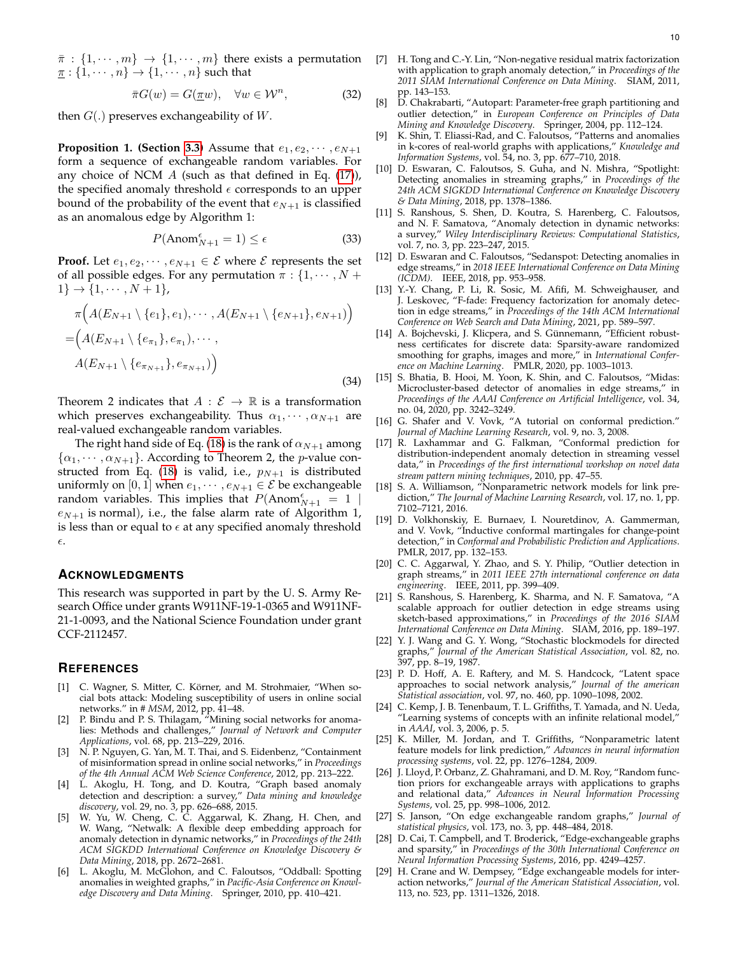$\bar{\pi}$  :  $\{1, \dots, m\}$   $\rightarrow$   $\{1, \dots, m\}$  there exists a permutation  $\underline{\pi}$  :  $\{1, \cdots, n\}$   $\rightarrow$   $\{1, \cdots, n\}$  such that

$$
\bar{\pi}G(w) = G(\underline{\pi}w), \quad \forall w \in \mathcal{W}^n,
$$
\n(32)

then  $G(.)$  preserves exchangeability of W.

**Proposition 1. (Section [3.3\)](#page-4-1)** Assume that  $e_1, e_2, \dots, e_{N+1}$ form a sequence of exchangeable random variables. For any choice of NCM  $A$  (such as that defined in Eq. [\(17\)](#page-5-2)), the specified anomaly threshold  $\epsilon$  corresponds to an upper bound of the probability of the event that  $e_{N+1}$  is classified as an anomalous edge by Algorithm 1:

$$
P(\text{Anom}_{N+1}^{\epsilon} = 1) \le \epsilon \tag{33}
$$

**Proof.** Let  $e_1, e_2, \dots, e_{N+1} \in \mathcal{E}$  where  $\mathcal{E}$  represents the set of all possible edges. For any permutation  $\pi$  :  $\{1, \cdots, N + \}$  $1\} \rightarrow \{1, \cdots, N+1\},\$ 

$$
\pi\Big(A(E_{N+1}\setminus\{e_1\},e_1),\cdots,A(E_{N+1}\setminus\{e_{N+1}\},e_{N+1})\Big) = \Big(A(E_{N+1}\setminus\{e_{\pi_1}\},e_{\pi_1}),\cdots, A(E_{N+1}\setminus\{e_{\pi_{N+1}}\},e_{\pi_{N+1}})\Big) \tag{34}
$$

Theorem 2 indicates that  $A : \mathcal{E} \to \mathbb{R}$  is a transformation which preserves exchangeability. Thus  $\alpha_1, \cdots, \alpha_{N+1}$  are real-valued exchangeable random variables.

The right hand side of Eq. [\(18\)](#page-5-5) is the rank of  $\alpha_{N+1}$  among  $\{\alpha_1, \cdots, \alpha_{N+1}\}.$  According to Theorem 2, the *p*-value con-structed from Eq. [\(18\)](#page-5-5) is valid, i.e.,  $p_{N+1}$  is distributed uniformly on [0, 1] when  $e_1, \dots, e_{N+1} \in \mathcal{E}$  be exchangeable random variables. This implies that  $P(\text{Anom}_{N+1}^{\epsilon} = 1)$  $e_{N+1}$  is normal), i.e., the false alarm rate of Algorithm 1, is less than or equal to  $\epsilon$  at any specified anomaly threshold  $\epsilon$ .

# **ACKNOWLEDGMENTS**

This research was supported in part by the U. S. Army Research Office under grants W911NF-19-1-0365 and W911NF-21-1-0093, and the National Science Foundation under grant CCF-2112457.

## **REFERENCES**

- <span id="page-9-0"></span>[1] C. Wagner, S. Mitter, C. Körner, and M. Strohmaier, "When social bots attack: Modeling susceptibility of users in online social networks." in *# MSM*, 2012, pp. 41–48.
- <span id="page-9-1"></span>[2] P. Bindu and P. S. Thilagam, "Mining social networks for anomalies: Methods and challenges," *Journal of Network and Computer Applications*, vol. 68, pp. 213–229, 2016.
- <span id="page-9-2"></span>[3] N. P. Nguyen, G. Yan, M. T. Thai, and S. Eidenbenz, "Containment of misinformation spread in online social networks," in *Proceedings of the 4th Annual ACM Web Science Conference*, 2012, pp. 213–222.
- <span id="page-9-3"></span>L. Akoglu, H. Tong, and D. Koutra, "Graph based anomaly detection and description: a survey," *Data mining and knowledge discovery*, vol. 29, no. 3, pp. 626–688, 2015.
- <span id="page-9-4"></span>[5] W. Yu, W. Cheng, C. C. Aggarwal, K. Zhang, H. Chen, and W. Wang, "Netwalk: A flexible deep embedding approach for anomaly detection in dynamic networks," in *Proceedings of the 24th ACM SIGKDD International Conference on Knowledge Discovery & Data Mining*, 2018, pp. 2672–2681.
- <span id="page-9-5"></span>[6] L. Akoglu, M. McGlohon, and C. Faloutsos, "Oddball: Spotting anomalies in weighted graphs," in *Pacific-Asia Conference on Knowledge Discovery and Data Mining*. Springer, 2010, pp. 410–421.
- <span id="page-9-6"></span>[7] H. Tong and C.-Y. Lin, "Non-negative residual matrix factorization with application to graph anomaly detection," in *Proceedings of the 2011 SIAM International Conference on Data Mining*. SIAM, 2011, pp. 143–153.
- <span id="page-9-7"></span>[8] D. Chakrabarti, "Autopart: Parameter-free graph partitioning and outlier detection," in *European Conference on Principles of Data Mining and Knowledge Discovery*. Springer, 2004, pp. 112–124.
- <span id="page-9-8"></span>[9] K. Shin, T. Eliassi-Rad, and C. Faloutsos, "Patterns and anomalies in k-cores of real-world graphs with applications," *Knowledge and Information Systems*, vol. 54, no. 3, pp. 677–710, 2018.
- <span id="page-9-9"></span>[10] D. Eswaran, C. Faloutsos, S. Guha, and N. Mishra, "Spotlight: Detecting anomalies in streaming graphs," in *Proceedings of the 24th ACM SIGKDD International Conference on Knowledge Discovery & Data Mining*, 2018, pp. 1378–1386.
- <span id="page-9-10"></span>[11] S. Ranshous, S. Shen, D. Koutra, S. Harenberg, C. Faloutsos, and N. F. Samatova, "Anomaly detection in dynamic networks: a survey," *Wiley Interdisciplinary Reviews: Computational Statistics*, vol. 7, no. 3, pp. 223–247, 2015.
- <span id="page-9-11"></span>[12] D. Eswaran and C. Faloutsos, "Sedanspot: Detecting anomalies in edge streams," in *2018 IEEE International Conference on Data Mining (ICDM)*. IEEE, 2018, pp. 953–958.
- <span id="page-9-12"></span>[13] Y.-Y. Chang, P. Li, R. Sosic, M. Afifi, M. Schweighauser, and J. Leskovec, "F-fade: Frequency factorization for anomaly detection in edge streams," in *Proceedings of the 14th ACM International Conference on Web Search and Data Mining*, 2021, pp. 589–597.
- <span id="page-9-13"></span>[14] A. Bojchevski, J. Klicpera, and S. Günnemann, "Efficient robustness certificates for discrete data: Sparsity-aware randomized smoothing for graphs, images and more," in *International Conference on Machine Learning*. PMLR, 2020, pp. 1003–1013.
- <span id="page-9-14"></span>[15] S. Bhatia, B. Hooi, M. Yoon, K. Shin, and C. Faloutsos, "Midas: Microcluster-based detector of anomalies in edge streams," in *Proceedings of the AAAI Conference on Artificial Intelligence*, vol. 34, no. 04, 2020, pp. 3242–3249.
- <span id="page-9-15"></span>[16] G. Shafer and V. Vovk, "A tutorial on conformal prediction." *Journal of Machine Learning Research*, vol. 9, no. 3, 2008.
- <span id="page-9-16"></span>[17] R. Laxhammar and G. Falkman, "Conformal prediction for distribution-independent anomaly detection in streaming vessel data," in *Proceedings of the first international workshop on novel data stream pattern mining techniques*, 2010, pp. 47–55.
- <span id="page-9-17"></span>[18] S. A. Williamson, "Nonparametric network models for link prediction," *The Journal of Machine Learning Research*, vol. 17, no. 1, pp. 7102–7121, 2016.
- <span id="page-9-18"></span>[19] D. Volkhonskiy, E. Burnaev, I. Nouretdinov, A. Gammerman, and V. Vovk, "Inductive conformal martingales for change-point detection," in *Conformal and Probabilistic Prediction and Applications*. PMLR, 2017, pp. 132–153.
- <span id="page-9-19"></span>[20] C. C. Aggarwal, Y. Zhao, and S. Y. Philip, "Outlier detection in graph streams," in *2011 IEEE 27th international conference on data engineering*. IEEE, 2011, pp. 399–409.
- <span id="page-9-20"></span>[21] S. Ranshous, S. Harenberg, K. Sharma, and N. F. Samatova, "A scalable approach for outlier detection in edge streams using sketch-based approximations," in *Proceedings of the 2016 SIAM International Conference on Data Mining*. SIAM, 2016, pp. 189–197.
- <span id="page-9-21"></span>[22] Y. J. Wang and G. Y. Wong, "Stochastic blockmodels for directed graphs," *Journal of the American Statistical Association*, vol. 82, no. 397, pp. 8–19, 1987.
- <span id="page-9-22"></span>[23] P. D. Hoff, A. E. Raftery, and M. S. Handcock, "Latent space approaches to social network analysis," *Journal of the american Statistical association*, vol. 97, no. 460, pp. 1090–1098, 2002.
- <span id="page-9-23"></span>[24] C. Kemp, J. B. Tenenbaum, T. L. Griffiths, T. Yamada, and N. Ueda, "Learning systems of concepts with an infinite relational model," in *AAAI*, vol. 3, 2006, p. 5.
- <span id="page-9-24"></span>[25] K. Miller, M. Jordan, and T. Griffiths, "Nonparametric latent feature models for link prediction," *Advances in neural information processing systems*, vol. 22, pp. 1276–1284, 2009.
- <span id="page-9-25"></span>[26] J. Lloyd, P. Orbanz, Z. Ghahramani, and D. M. Roy, "Random function priors for exchangeable arrays with applications to graphs and relational data," *Advances in Neural Information Processing Systems*, vol. 25, pp. 998–1006, 2012.
- <span id="page-9-26"></span>[27] S. Janson, "On edge exchangeable random graphs," *Journal of statistical physics*, vol. 173, no. 3, pp. 448–484, 2018.
- <span id="page-9-27"></span>[28] D. Cai, T. Campbell, and T. Broderick, "Edge-exchangeable graphs and sparsity," in *Proceedings of the 30th International Conference on Neural Information Processing Systems*, 2016, pp. 4249–4257.
- <span id="page-9-28"></span>[29] H. Crane and W. Dempsey, "Edge exchangeable models for interaction networks," *Journal of the American Statistical Association*, vol. 113, no. 523, pp. 1311–1326, 2018.